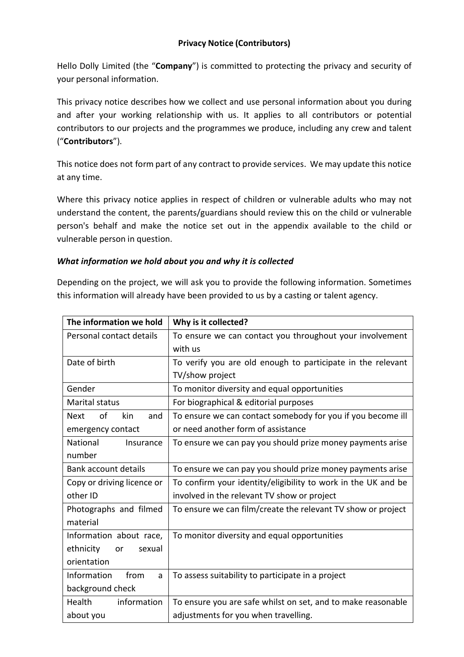# **Privacy Notice (Contributors)**

Hello Dolly Limited (the "**Company**") is committed to protecting the privacy and security of your personal information.

This privacy notice describes how we collect and use personal information about you during and after your working relationship with us. It applies to all contributors or potential contributors to our projects and the programmes we produce, including any crew and talent ("**Contributors**").

This notice does not form part of any contract to provide services. We may update this notice at any time.

Where this privacy notice applies in respect of children or vulnerable adults who may not understand the content, the parents/guardians should review this on the child or vulnerable person's behalf and make the notice set out in the appendix available to the child or vulnerable person in question.

# *What information we hold about you and why it is collected*

Depending on the project, we will ask you to provide the following information. Sometimes this information will already have been provided to us by a casting or talent agency.

| The information we hold         | Why is it collected?                                          |
|---------------------------------|---------------------------------------------------------------|
| Personal contact details        | To ensure we can contact you throughout your involvement      |
|                                 | with us                                                       |
| Date of birth                   | To verify you are old enough to participate in the relevant   |
|                                 | TV/show project                                               |
| Gender                          | To monitor diversity and equal opportunities                  |
| <b>Marital status</b>           | For biographical & editorial purposes                         |
| of<br>kin<br><b>Next</b><br>and | To ensure we can contact somebody for you if you become ill   |
| emergency contact               | or need another form of assistance                            |
| National<br>Insurance           | To ensure we can pay you should prize money payments arise    |
| number                          |                                                               |
| <b>Bank account details</b>     | To ensure we can pay you should prize money payments arise    |
| Copy or driving licence or      | To confirm your identity/eligibility to work in the UK and be |
| other ID                        | involved in the relevant TV show or project                   |
| Photographs and filmed          | To ensure we can film/create the relevant TV show or project  |
| material                        |                                                               |
| Information about race,         | To monitor diversity and equal opportunities                  |
| ethnicity<br>or<br>sexual       |                                                               |
| orientation                     |                                                               |
| from<br>Information<br>a        | To assess suitability to participate in a project             |
| background check                |                                                               |
| information<br>Health           | To ensure you are safe whilst on set, and to make reasonable  |
| about you                       | adjustments for you when travelling.                          |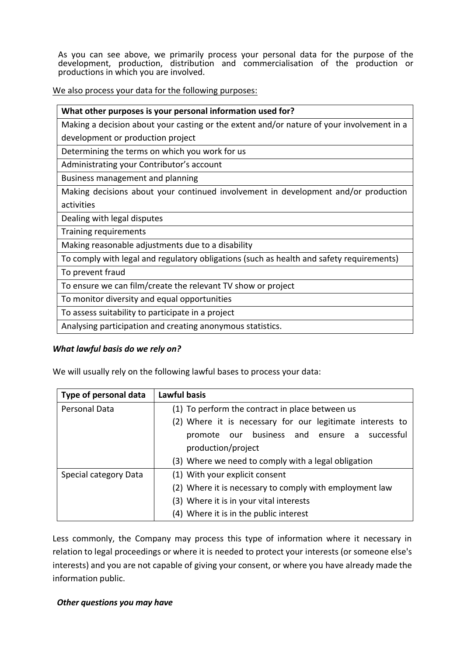As you can see above, we primarily process your personal data for the purpose of the development, production, distribution and commercialisation of the production or productions in which you are involved.

We also process your data for the following purposes:

| What other purposes is your personal information used for?                                |  |  |
|-------------------------------------------------------------------------------------------|--|--|
| Making a decision about your casting or the extent and/or nature of your involvement in a |  |  |
| development or production project                                                         |  |  |
| Determining the terms on which you work for us                                            |  |  |
| Administrating your Contributor's account                                                 |  |  |
| Business management and planning                                                          |  |  |
| Making decisions about your continued involvement in development and/or production        |  |  |
| activities                                                                                |  |  |
| Dealing with legal disputes                                                               |  |  |
| Training requirements                                                                     |  |  |
| Making reasonable adjustments due to a disability                                         |  |  |
| To comply with legal and regulatory obligations (such as health and safety requirements)  |  |  |
| To prevent fraud                                                                          |  |  |
| To ensure we can film/create the relevant TV show or project                              |  |  |
| To monitor diversity and equal opportunities                                              |  |  |
| To assess suitability to participate in a project                                         |  |  |
| Analysing participation and creating anonymous statistics.                                |  |  |
|                                                                                           |  |  |

#### *What lawful basis do we rely on?*

We will usually rely on the following lawful bases to process your data:

| Type of personal data | <b>Lawful basis</b>                                       |
|-----------------------|-----------------------------------------------------------|
| Personal Data         | (1) To perform the contract in place between us           |
|                       | (2) Where it is necessary for our legitimate interests to |
|                       | promote our business and ensure a successful              |
|                       | production/project                                        |
|                       | (3) Where we need to comply with a legal obligation       |
| Special category Data | (1) With your explicit consent                            |
|                       | (2) Where it is necessary to comply with employment law   |
|                       | (3) Where it is in your vital interests                   |
|                       | (4) Where it is in the public interest                    |

Less commonly, the Company may process this type of information where it necessary in relation to legal proceedings or where it is needed to protect your interests (or someone else's interests) and you are not capable of giving your consent, or where you have already made the information public.

# *Other questions you may have*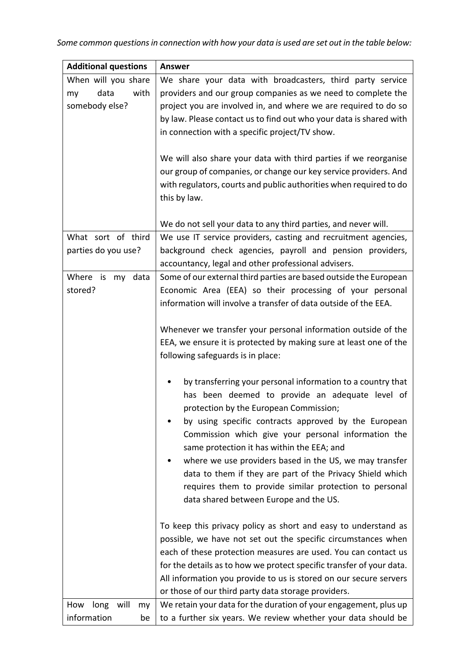| <b>Additional questions</b>                                 | <b>Answer</b>                                                                                                                                                                                                                                                                                                                                                                                                                                                                                                                                      |
|-------------------------------------------------------------|----------------------------------------------------------------------------------------------------------------------------------------------------------------------------------------------------------------------------------------------------------------------------------------------------------------------------------------------------------------------------------------------------------------------------------------------------------------------------------------------------------------------------------------------------|
| When will you share<br>data<br>with<br>my<br>somebody else? | We share your data with broadcasters, third party service<br>providers and our group companies as we need to complete the<br>project you are involved in, and where we are required to do so<br>by law. Please contact us to find out who your data is shared with<br>in connection with a specific project/TV show.<br>We will also share your data with third parties if we reorganise<br>our group of companies, or change our key service providers. And<br>with regulators, courts and public authorities when required to do<br>this by law. |
|                                                             | We do not sell your data to any third parties, and never will.                                                                                                                                                                                                                                                                                                                                                                                                                                                                                     |
| What sort of third<br>parties do you use?                   | We use IT service providers, casting and recruitment agencies,<br>background check agencies, payroll and pension providers,<br>accountancy, legal and other professional advisers.                                                                                                                                                                                                                                                                                                                                                                 |
| Where is my data<br>stored?                                 | Some of our external third parties are based outside the European<br>Economic Area (EEA) so their processing of your personal<br>information will involve a transfer of data outside of the EEA.<br>Whenever we transfer your personal information outside of the                                                                                                                                                                                                                                                                                  |
|                                                             | EEA, we ensure it is protected by making sure at least one of the<br>following safeguards is in place:                                                                                                                                                                                                                                                                                                                                                                                                                                             |
|                                                             | by transferring your personal information to a country that<br>has been deemed to provide an adequate level of<br>protection by the European Commission;<br>by using specific contracts approved by the European<br>Commission which give your personal information the<br>same protection it has within the EEA; and<br>where we use providers based in the US, we may transfer<br>data to them if they are part of the Privacy Shield which<br>requires them to provide similar protection to personal<br>data shared between Europe and the US. |
|                                                             | To keep this privacy policy as short and easy to understand as<br>possible, we have not set out the specific circumstances when<br>each of these protection measures are used. You can contact us<br>for the details as to how we protect specific transfer of your data.<br>All information you provide to us is stored on our secure servers<br>or those of our third party data storage providers.                                                                                                                                              |
| long will<br>How<br>my<br>information<br>be                 | We retain your data for the duration of your engagement, plus up<br>to a further six years. We review whether your data should be                                                                                                                                                                                                                                                                                                                                                                                                                  |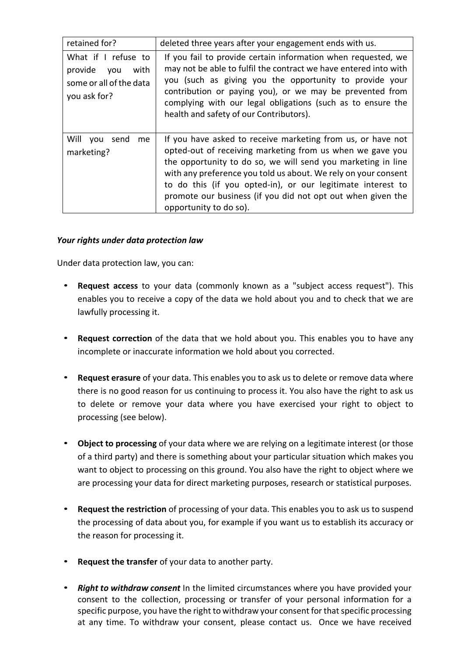| retained for?                                                                            | deleted three years after your engagement ends with us.                                                                                                                                                                                                                                                                                                                                                            |
|------------------------------------------------------------------------------------------|--------------------------------------------------------------------------------------------------------------------------------------------------------------------------------------------------------------------------------------------------------------------------------------------------------------------------------------------------------------------------------------------------------------------|
| What if I refuse to<br>provide<br>with<br>you<br>some or all of the data<br>you ask for? | If you fail to provide certain information when requested, we<br>may not be able to fulfil the contract we have entered into with<br>you (such as giving you the opportunity to provide your<br>contribution or paying you), or we may be prevented from<br>complying with our legal obligations (such as to ensure the<br>health and safety of our Contributors).                                                 |
| Will<br>send<br>you<br><sub>me</sub><br>marketing?                                       | If you have asked to receive marketing from us, or have not<br>opted-out of receiving marketing from us when we gave you<br>the opportunity to do so, we will send you marketing in line<br>with any preference you told us about. We rely on your consent<br>to do this (if you opted-in), or our legitimate interest to<br>promote our business (if you did not opt out when given the<br>opportunity to do so). |

### *Your rights under data protection law*

Under data protection law, you can:

- **Request access** to your data (commonly known as a "subject access request"). This enables you to receive a copy of the data we hold about you and to check that we are lawfully processing it.
- **Request correction** of the data that we hold about you. This enables you to have any incomplete or inaccurate information we hold about you corrected.
- **Request erasure** of your data. This enables you to ask us to delete or remove data where there is no good reason for us continuing to process it. You also have the right to ask us to delete or remove your data where you have exercised your right to object to processing (see below).
- **Object to processing** of your data where we are relying on a legitimate interest (or those of a third party) and there is something about your particular situation which makes you want to object to processing on this ground. You also have the right to object where we are processing your data for direct marketing purposes, research or statistical purposes.
- **Request the restriction** of processing of your data. This enables you to ask us to suspend the processing of data about you, for example if you want us to establish its accuracy or the reason for processing it.
- **Request the transfer** of your data to another party.
- *Right to withdraw consent* In the limited circumstances where you have provided your consent to the collection, processing or transfer of your personal information for a specific purpose, you have the right to withdraw your consent for that specific processing at any time. To withdraw your consent, please contact us. Once we have received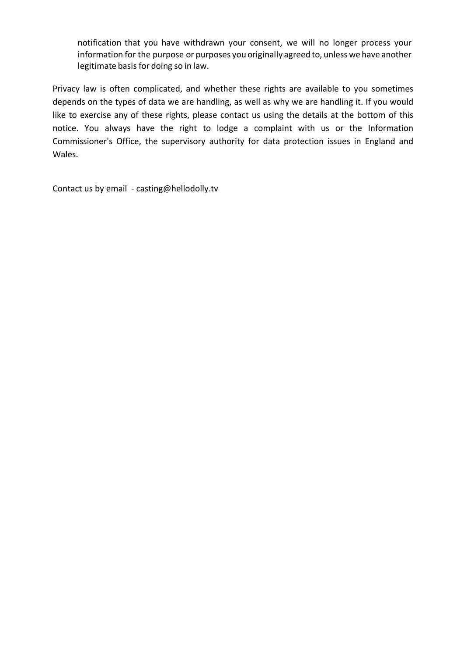notification that you have withdrawn your consent, we will no longer process your information for the purpose or purposes you originally agreed to, unless we have another legitimate basis for doing so in law.

Privacy law is often complicated, and whether these rights are available to you sometimes depends on the types of data we are handling, as well as why we are handling it. If you would like to exercise any of these rights, please contact us using the details at the bottom of this notice. You always have the right to lodge a complaint with us or the Information Commissioner's Office, the supervisory authority for data protection issues in England and Wales.

Contact us by email - casting@hellodolly.tv